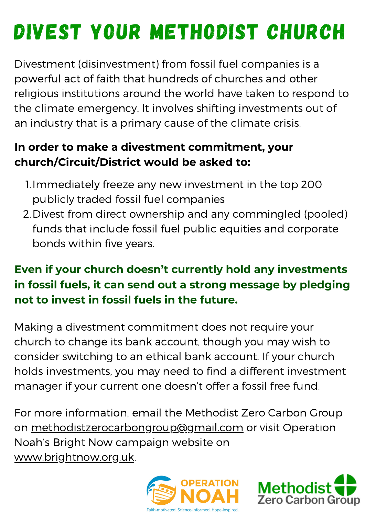# DIVEST YOUR METHODIST CHURCH

Divestment (disinvestment) from fossil fuel companies is a powerful act of faith that hundreds of churches and other religious institutions around the world have taken to respond to the climate emergency. It involves shifting investments out of an industry that is a primary cause of the climate crisis.

### **In order to make a divestment commitment, your church/Circuit/District would be asked to:**

- 1. Immediately freeze any new investment in the top 200 publicly traded fossil fuel companies
- 2. Divest from direct ownership and any commingled (pooled) funds that include fossil fuel public equities and corporate bonds within five years.

### **Even if your church doesn't currently hold any investments in fossil fuels, it can send out a strong message by pledging not to invest in fossil fuels in the future.**

Making a divestment commitment does not require your church to change its bank account, though you may wish to consider switching to an ethical bank account. If your church holds investments, you may need to find a different investment manager if your current one doesn't offer a fossil free fund.

For more information, email the Methodist Zero Carbon Group on [methodistzerocarbongroup@gmail.com](mailto:methodistzerocarbongroup@gmail.com) or visit Operation Noah's Bright Now campaign website on [www.brightnow.org.uk](http://www.brightnow.org.uk/).